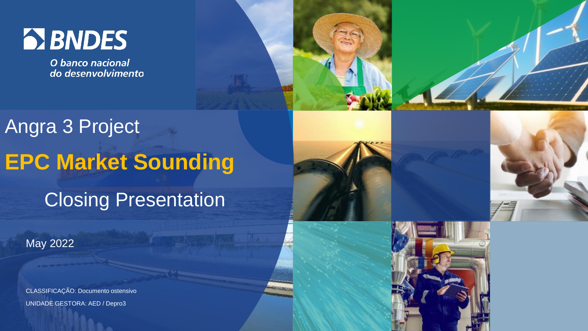## **EX BNDES**

O banco nacional do desenvolvimento

## Angra 3 Project **EPC Market Sounding** Closing Presentation



CLASSIFICAÇÃO: Documento ostensivo UNIDADE GESTORA: AED / Depro3



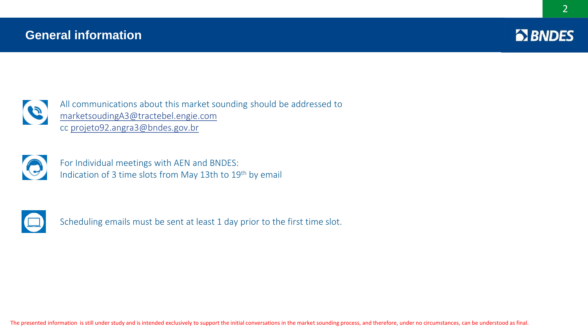## **General information**





All communications about this market sounding should be addressed to [marketsoudingA3@tractebel.engie.com](mailto:marketsoudingA3@tractebel.engie.com) cc [projeto92.angra3@bndes.gov.br](mailto:projeto92.angra3@bndes.gov.br)



For Individual meetings with AEN and BNDES: Indication of 3 time slots from May 13th to 19th by email



Scheduling emails must be sent at least 1 day prior to the first time slot.

The presented information is still under study and is intended exclusively to support the initial conversations in the market sounding process, and therefore, under no circumstances, can be understood as final.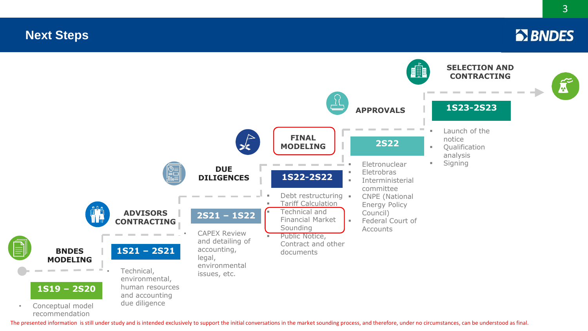## **Evolução do Projeto Next Step Next Steps**

recommendation



The presented information is still under study and is intended exclusively to support the initial conversations in the market sounding process, and therefore, under no circumstances, can be understood as final.

**EX BNDES**